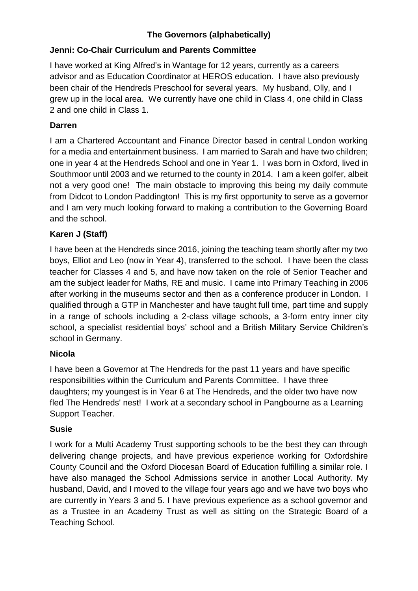# **The Governors (alphabetically)**

# **Jenni: Co-Chair Curriculum and Parents Committee**

I have worked at King Alfred's in Wantage for 12 years, currently as a careers advisor and as Education Coordinator at HEROS education. I have also previously been chair of the Hendreds Preschool for several years. My husband, Olly, and I grew up in the local area. We currently have one child in Class 4, one child in Class 2 and one child in Class 1.

## **Darren**

I am a Chartered Accountant and Finance Director based in central London working for a media and entertainment business. I am married to Sarah and have two children; one in year 4 at the Hendreds School and one in Year 1. I was born in Oxford, lived in Southmoor until 2003 and we returned to the county in 2014. I am a keen golfer, albeit not a very good one! The main obstacle to improving this being my daily commute from Didcot to London Paddington! This is my first opportunity to serve as a governor and I am very much looking forward to making a contribution to the Governing Board and the school.

# **Karen J (Staff)**

I have been at the Hendreds since 2016, joining the teaching team shortly after my two boys, Elliot and Leo (now in Year 4), transferred to the school. I have been the class teacher for Classes 4 and 5, and have now taken on the role of Senior Teacher and am the subject leader for Maths, RE and music. I came into Primary Teaching in 2006 after working in the museums sector and then as a conference producer in London. I qualified through a GTP in Manchester and have taught full time, part time and supply in a range of schools including a 2-class village schools, a 3-form entry inner city school, a specialist residential boys' school and a British Military Service Children's school in Germany.

### **Nicola**

I have been a Governor at The Hendreds for the past 11 years and have specific responsibilities within the Curriculum and Parents Committee. I have three daughters; my youngest is in Year 6 at The Hendreds, and the older two have now fled The Hendreds' nest! I work at a secondary school in Pangbourne as a Learning Support Teacher.

### **Susie**

I work for a Multi Academy Trust supporting schools to be the best they can through delivering change projects, and have previous experience working for Oxfordshire County Council and the Oxford Diocesan Board of Education fulfilling a similar role. I have also managed the School Admissions service in another Local Authority. My husband, David, and I moved to the village four years ago and we have two boys who are currently in Years 3 and 5. I have previous experience as a school governor and as a Trustee in an Academy Trust as well as sitting on the Strategic Board of a Teaching School.